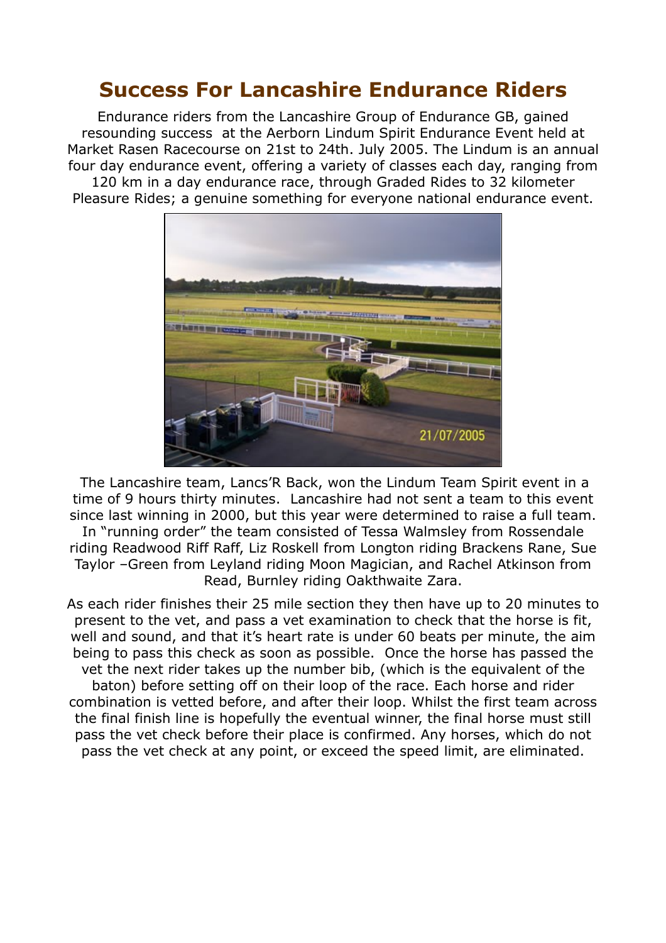## **Success For Lancashire Endurance Riders**

Endurance riders from the Lancashire Group of Endurance GB, gained resounding success at the Aerborn Lindum Spirit Endurance Event held at Market Rasen Racecourse on 21st to 24th. July 2005. The Lindum is an annual four day endurance event, offering a variety of classes each day, ranging from 120 km in a day endurance race, through Graded Rides to 32 kilometer Pleasure Rides; a genuine something for everyone national endurance event.



The Lancashire team, Lancs'R Back, won the Lindum Team Spirit event in a time of 9 hours thirty minutes. Lancashire had not sent a team to this event since last winning in 2000, but this year were determined to raise a full team. In "running order" the team consisted of Tessa Walmsley from Rossendale riding Readwood Riff Raff, Liz Roskell from Longton riding Brackens Rane, Sue Taylor –Green from Leyland riding Moon Magician, and Rachel Atkinson from Read, Burnley riding Oakthwaite Zara.

As each rider finishes their 25 mile section they then have up to 20 minutes to present to the vet, and pass a vet examination to check that the horse is fit, well and sound, and that it's heart rate is under 60 beats per minute, the aim being to pass this check as soon as possible. Once the horse has passed the vet the next rider takes up the number bib, (which is the equivalent of the baton) before setting off on their loop of the race. Each horse and rider combination is vetted before, and after their loop. Whilst the first team across the final finish line is hopefully the eventual winner, the final horse must still pass the vet check before their place is confirmed. Any horses, which do not pass the vet check at any point, or exceed the speed limit, are eliminated.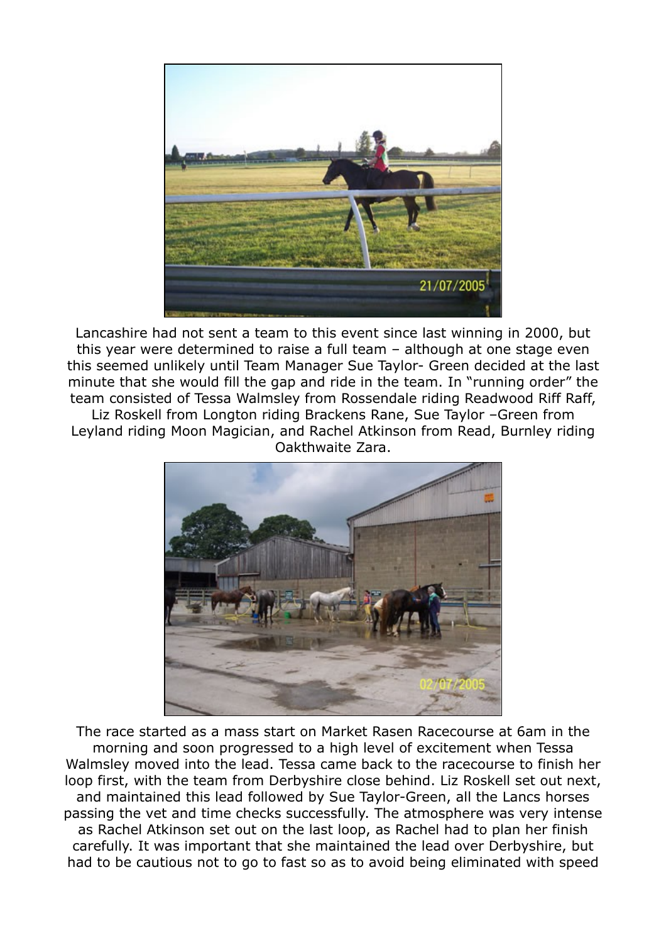

Lancashire had not sent a team to this event since last winning in 2000, but this year were determined to raise a full team – although at one stage even this seemed unlikely until Team Manager Sue Taylor- Green decided at the last minute that she would fill the gap and ride in the team. In "running order" the team consisted of Tessa Walmsley from Rossendale riding Readwood Riff Raff, Liz Roskell from Longton riding Brackens Rane, Sue Taylor –Green from

Leyland riding Moon Magician, and Rachel Atkinson from Read, Burnley riding Oakthwaite Zara.



The race started as a mass start on Market Rasen Racecourse at 6am in the morning and soon progressed to a high level of excitement when Tessa Walmsley moved into the lead. Tessa came back to the racecourse to finish her loop first, with the team from Derbyshire close behind. Liz Roskell set out next, and maintained this lead followed by Sue Taylor-Green, all the Lancs horses passing the vet and time checks successfully. The atmosphere was very intense as Rachel Atkinson set out on the last loop, as Rachel had to plan her finish carefully. It was important that she maintained the lead over Derbyshire, but had to be cautious not to go to fast so as to avoid being eliminated with speed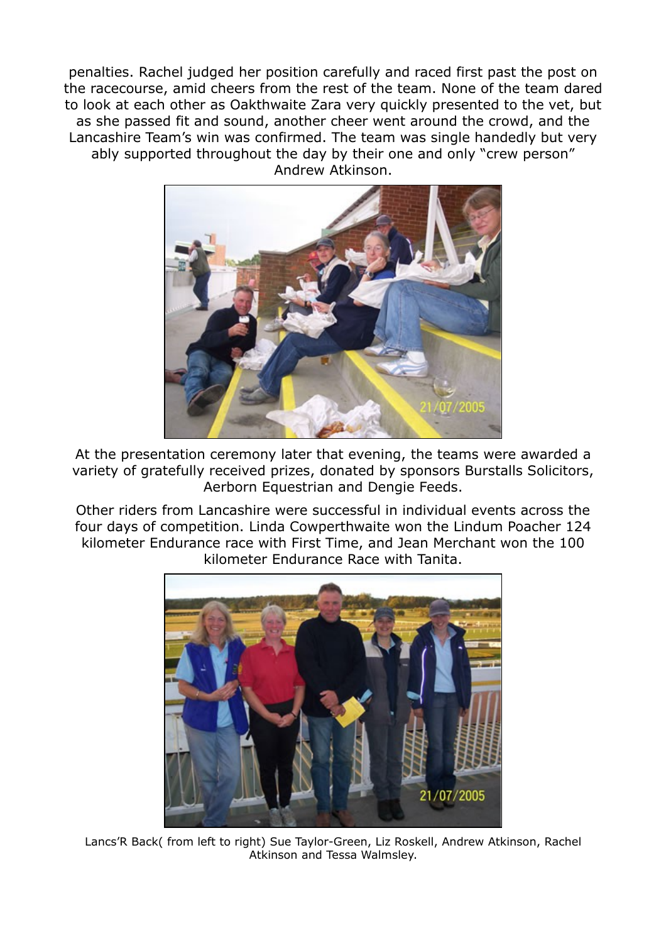penalties. Rachel judged her position carefully and raced first past the post on the racecourse, amid cheers from the rest of the team. None of the team dared to look at each other as Oakthwaite Zara very quickly presented to the vet, but as she passed fit and sound, another cheer went around the crowd, and the Lancashire Team's win was confirmed. The team was single handedly but very ably supported throughout the day by their one and only "crew person" Andrew Atkinson.



At the presentation ceremony later that evening, the teams were awarded a variety of gratefully received prizes, donated by sponsors Burstalls Solicitors, Aerborn Equestrian and Dengie Feeds.

Other riders from Lancashire were successful in individual events across the four days of competition. Linda Cowperthwaite won the Lindum Poacher 124 kilometer Endurance race with First Time, and Jean Merchant won the 100 kilometer Endurance Race with Tanita.



Lancs'R Back( from left to right) Sue Taylor-Green, Liz Roskell, Andrew Atkinson, Rachel Atkinson and Tessa Walmsley.